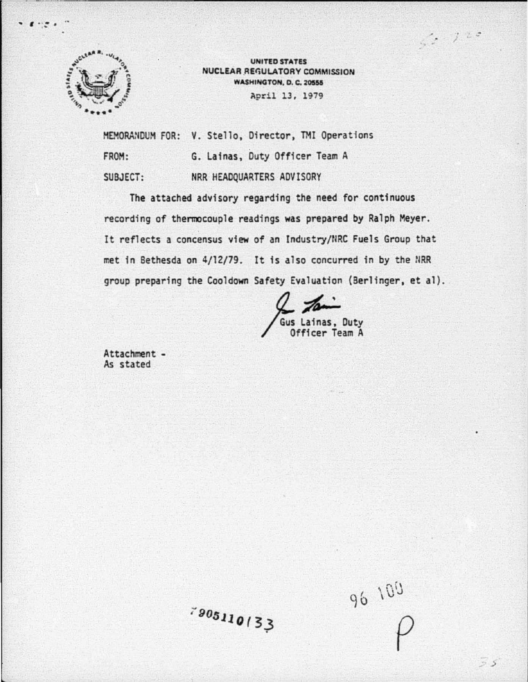

"' ' . *:* . ..

UNITED STATES NUCLEAR REGULATORY COMMISSION **WASHINGTON, D. C. 20555** April 13, 1979

MEMORANDUM FOR: V. Stello, Director, TMI Operations FROM: SUBJECT: G. Lainas, Duty Officer Team A NRR HEADQUARTERS ADVISORY

The attached advisory regarding the need for continuous recording of thermocouple readings was prepared by Ralph Meyer. It reflects a concensus view of an Industry/NRC Fuels Group that met in Bethesda on 4/12/79. It is also concurred in by the NRR group preparing the Cooldown Safety Evaluation (Berlinger, et al).

us Lainas. Duty Officer Team A

Attachment - As stated

 $\rho$ 

 $-220$